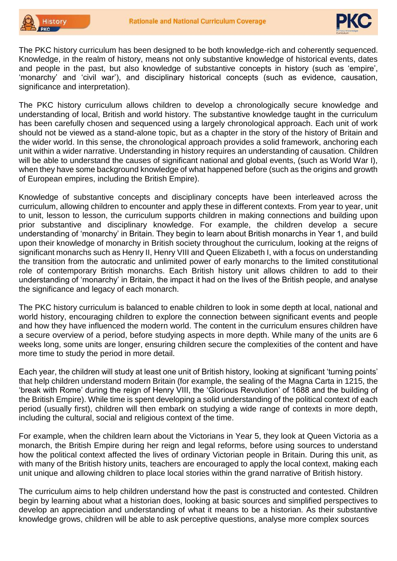



The PKC history curriculum has been designed to be both knowledge-rich and coherently sequenced. Knowledge, in the realm of history, means not only substantive knowledge of historical events, dates and people in the past, but also knowledge of substantive concepts in history (such as 'empire', 'monarchy' and 'civil war'), and disciplinary historical concepts (such as evidence, causation, significance and interpretation).

The PKC history curriculum allows children to develop a chronologically secure knowledge and understanding of local, British and world history. The substantive knowledge taught in the curriculum has been carefully chosen and sequenced using a largely chronological approach. Each unit of work should not be viewed as a stand-alone topic, but as a chapter in the story of the history of Britain and the wider world. In this sense, the chronological approach provides a solid framework, anchoring each unit within a wider narrative. Understanding in history requires an understanding of causation. Children will be able to understand the causes of significant national and global events, (such as World War I), when they have some background knowledge of what happened before (such as the origins and growth of European empires, including the British Empire).

Knowledge of substantive concepts and disciplinary concepts have been interleaved across the curriculum, allowing children to encounter and apply these in different contexts. From year to year, unit to unit, lesson to lesson, the curriculum supports children in making connections and building upon prior substantive and disciplinary knowledge. For example, the children develop a secure understanding of 'monarchy' in Britain. They begin to learn about British monarchs in Year 1, and build upon their knowledge of monarchy in British society throughout the curriculum, looking at the reigns of significant monarchs such as Henry II, Henry VIII and Queen Elizabeth I, with a focus on understanding the transition from the autocratic and unlimited power of early monarchs to the limited constitutional role of contemporary British monarchs. Each British history unit allows children to add to their understanding of 'monarchy' in Britain, the impact it had on the lives of the British people, and analyse the significance and legacy of each monarch.

The PKC history curriculum is balanced to enable children to look in some depth at local, national and world history, encouraging children to explore the connection between significant events and people and how they have influenced the modern world. The content in the curriculum ensures children have a secure overview of a period, before studying aspects in more depth. While many of the units are 6 weeks long, some units are longer, ensuring children secure the complexities of the content and have more time to study the period in more detail.

Each year, the children will study at least one unit of British history, looking at significant 'turning points' that help children understand modern Britain (for example, the sealing of the Magna Carta in 1215, the 'break with Rome' during the reign of Henry VIII, the 'Glorious Revolution' of 1688 and the building of the British Empire). While time is spent developing a solid understanding of the political context of each period (usually first), children will then embark on studying a wide range of contexts in more depth, including the cultural, social and religious context of the time.

For example, when the children learn about the Victorians in Year 5, they look at Queen Victoria as a monarch, the British Empire during her reign and legal reforms, before using sources to understand how the political context affected the lives of ordinary Victorian people in Britain. During this unit, as with many of the British history units, teachers are encouraged to apply the local context, making each unit unique and allowing children to place local stories within the grand narrative of British history.

The curriculum aims to help children understand how the past is constructed and contested. Children begin by learning about what a historian does, looking at basic sources and simplified perspectives to develop an appreciation and understanding of what it means to be a historian. As their substantive knowledge grows, children will be able to ask perceptive questions, analyse more complex sources